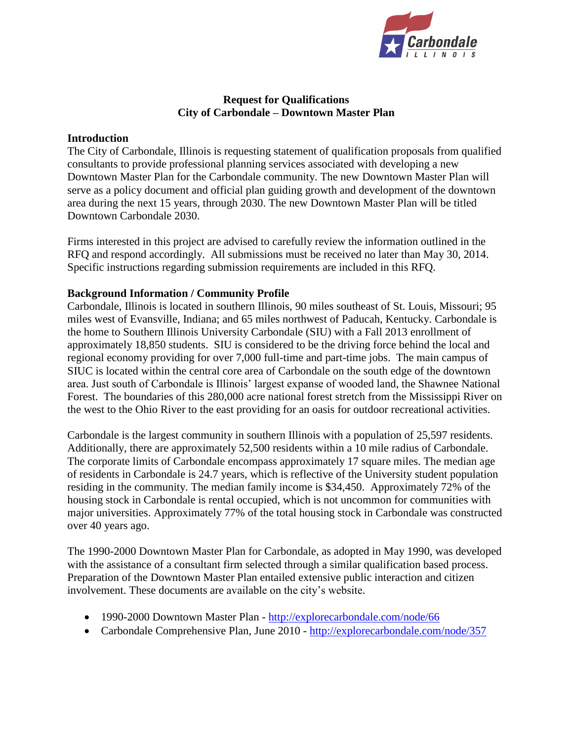

## **Request for Qualifications City of Carbondale – Downtown Master Plan**

#### **Introduction**

The City of Carbondale, Illinois is requesting statement of qualification proposals from qualified consultants to provide professional planning services associated with developing a new Downtown Master Plan for the Carbondale community. The new Downtown Master Plan will serve as a policy document and official plan guiding growth and development of the downtown area during the next 15 years, through 2030. The new Downtown Master Plan will be titled Downtown Carbondale 2030.

Firms interested in this project are advised to carefully review the information outlined in the RFQ and respond accordingly. All submissions must be received no later than May 30, 2014. Specific instructions regarding submission requirements are included in this RFQ.

## **Background Information / Community Profile**

Carbondale, Illinois is located in southern Illinois, 90 miles southeast of St. Louis, Missouri; 95 miles west of Evansville, Indiana; and 65 miles northwest of Paducah, Kentucky. Carbondale is the home to Southern Illinois University Carbondale (SIU) with a Fall 2013 enrollment of approximately 18,850 students. SIU is considered to be the driving force behind the local and regional economy providing for over 7,000 full-time and part-time jobs. The main campus of SIUC is located within the central core area of Carbondale on the south edge of the downtown area. Just south of Carbondale is Illinois' largest expanse of wooded land, the Shawnee National Forest. The boundaries of this 280,000 acre national forest stretch from the Mississippi River on the west to the Ohio River to the east providing for an oasis for outdoor recreational activities.

Carbondale is the largest community in southern Illinois with a population of 25,597 residents. Additionally, there are approximately 52,500 residents within a 10 mile radius of Carbondale. The corporate limits of Carbondale encompass approximately 17 square miles. The median age of residents in Carbondale is 24.7 years, which is reflective of the University student population residing in the community. The median family income is \$34,450. Approximately 72% of the housing stock in Carbondale is rental occupied, which is not uncommon for communities with major universities. Approximately 77% of the total housing stock in Carbondale was constructed over 40 years ago.

The 1990-2000 Downtown Master Plan for Carbondale, as adopted in May 1990, was developed with the assistance of a consultant firm selected through a similar qualification based process. Preparation of the Downtown Master Plan entailed extensive public interaction and citizen involvement. These documents are available on the city's website.

- 1990-2000 Downtown Master Plan <http://explorecarbondale.com/node/66>
- Carbondale Comprehensive Plan, June 2010 <http://explorecarbondale.com/node/357>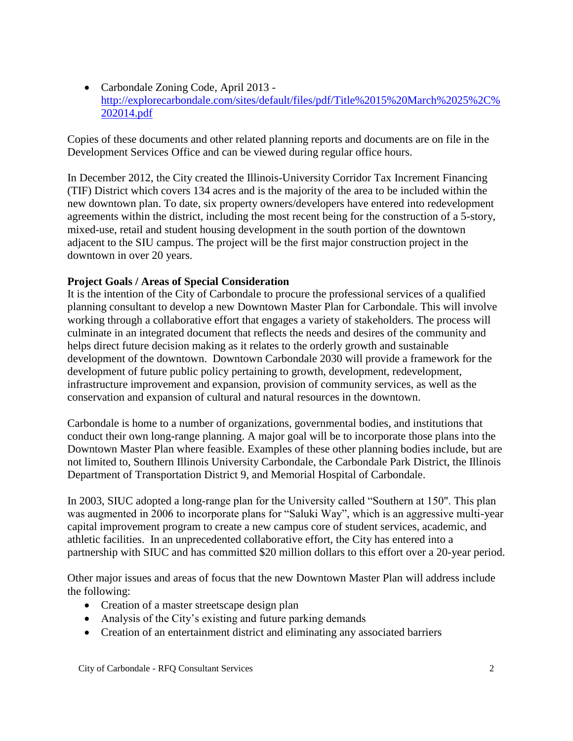Carbondale Zoning Code, April 2013 [http://explorecarbondale.com/sites/default/files/pdf/Title%2015%20March%2025%2C%](http://explorecarbondale.com/sites/default/files/pdf/Title%2015%20March%2025%2C%202014.pdf) [202014.pdf](http://explorecarbondale.com/sites/default/files/pdf/Title%2015%20March%2025%2C%202014.pdf)

Copies of these documents and other related planning reports and documents are on file in the Development Services Office and can be viewed during regular office hours.

In December 2012, the City created the Illinois-University Corridor Tax Increment Financing (TIF) District which covers 134 acres and is the majority of the area to be included within the new downtown plan. To date, six property owners/developers have entered into redevelopment agreements within the district, including the most recent being for the construction of a 5-story, mixed-use, retail and student housing development in the south portion of the downtown adjacent to the SIU campus. The project will be the first major construction project in the downtown in over 20 years.

# **Project Goals / Areas of Special Consideration**

It is the intention of the City of Carbondale to procure the professional services of a qualified planning consultant to develop a new Downtown Master Plan for Carbondale. This will involve working through a collaborative effort that engages a variety of stakeholders. The process will culminate in an integrated document that reflects the needs and desires of the community and helps direct future decision making as it relates to the orderly growth and sustainable development of the downtown. Downtown Carbondale 2030 will provide a framework for the development of future public policy pertaining to growth, development, redevelopment, infrastructure improvement and expansion, provision of community services, as well as the conservation and expansion of cultural and natural resources in the downtown.

Carbondale is home to a number of organizations, governmental bodies, and institutions that conduct their own long-range planning. A major goal will be to incorporate those plans into the Downtown Master Plan where feasible. Examples of these other planning bodies include, but are not limited to, Southern Illinois University Carbondale, the Carbondale Park District, the Illinois Department of Transportation District 9, and Memorial Hospital of Carbondale.

In 2003, SIUC adopted a long-range plan for the University called "Southern at 150". This plan was augmented in 2006 to incorporate plans for "Saluki Way", which is an aggressive multi-year capital improvement program to create a new campus core of student services, academic, and athletic facilities. In an unprecedented collaborative effort, the City has entered into a partnership with SIUC and has committed \$20 million dollars to this effort over a 20-year period.

Other major issues and areas of focus that the new Downtown Master Plan will address include the following:

- Creation of a master streetscape design plan
- Analysis of the City's existing and future parking demands
- Creation of an entertainment district and eliminating any associated barriers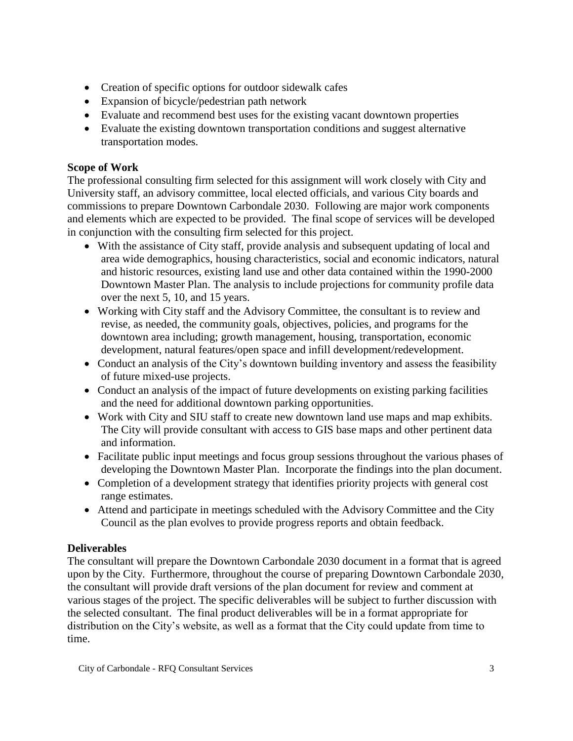- Creation of specific options for outdoor sidewalk cafes
- Expansion of bicycle/pedestrian path network
- Evaluate and recommend best uses for the existing vacant downtown properties
- Evaluate the existing downtown transportation conditions and suggest alternative transportation modes.

# **Scope of Work**

The professional consulting firm selected for this assignment will work closely with City and University staff, an advisory committee, local elected officials, and various City boards and commissions to prepare Downtown Carbondale 2030. Following are major work components and elements which are expected to be provided. The final scope of services will be developed in conjunction with the consulting firm selected for this project.

- With the assistance of City staff, provide analysis and subsequent updating of local and area wide demographics, housing characteristics, social and economic indicators, natural and historic resources, existing land use and other data contained within the 1990-2000 Downtown Master Plan. The analysis to include projections for community profile data over the next 5, 10, and 15 years.
- Working with City staff and the Advisory Committee, the consultant is to review and revise, as needed, the community goals, objectives, policies, and programs for the downtown area including; growth management, housing, transportation, economic development, natural features/open space and infill development/redevelopment.
- Conduct an analysis of the City's downtown building inventory and assess the feasibility of future mixed-use projects.
- Conduct an analysis of the impact of future developments on existing parking facilities and the need for additional downtown parking opportunities.
- Work with City and SIU staff to create new downtown land use maps and map exhibits. The City will provide consultant with access to GIS base maps and other pertinent data and information.
- Facilitate public input meetings and focus group sessions throughout the various phases of developing the Downtown Master Plan. Incorporate the findings into the plan document.
- Completion of a development strategy that identifies priority projects with general cost range estimates.
- Attend and participate in meetings scheduled with the Advisory Committee and the City Council as the plan evolves to provide progress reports and obtain feedback.

# **Deliverables**

The consultant will prepare the Downtown Carbondale 2030 document in a format that is agreed upon by the City. Furthermore, throughout the course of preparing Downtown Carbondale 2030, the consultant will provide draft versions of the plan document for review and comment at various stages of the project. The specific deliverables will be subject to further discussion with the selected consultant. The final product deliverables will be in a format appropriate for distribution on the City's website, as well as a format that the City could update from time to time.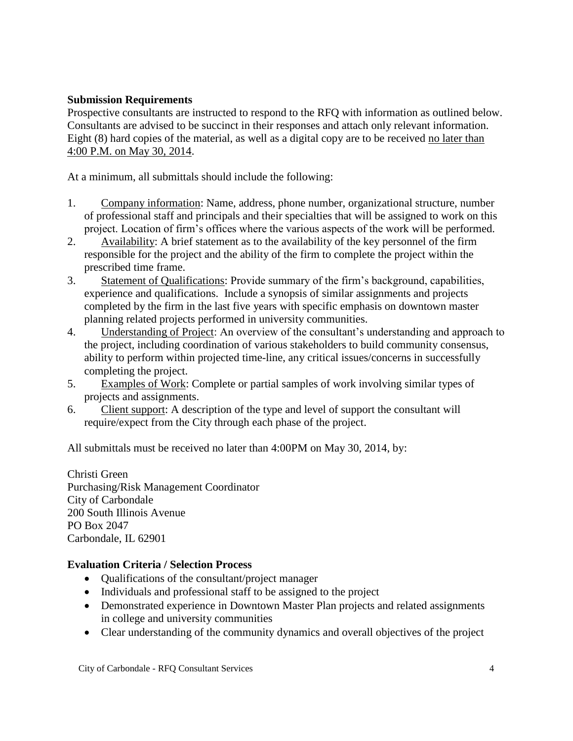## **Submission Requirements**

Prospective consultants are instructed to respond to the RFQ with information as outlined below. Consultants are advised to be succinct in their responses and attach only relevant information. Eight (8) hard copies of the material, as well as a digital copy are to be received no later than 4:00 P.M. on May 30, 2014.

At a minimum, all submittals should include the following:

- 1. Company information: Name, address, phone number, organizational structure, number of professional staff and principals and their specialties that will be assigned to work on this project. Location of firm's offices where the various aspects of the work will be performed.
- 2. Availability: A brief statement as to the availability of the key personnel of the firm responsible for the project and the ability of the firm to complete the project within the prescribed time frame.
- 3. Statement of Qualifications: Provide summary of the firm's background, capabilities, experience and qualifications. Include a synopsis of similar assignments and projects completed by the firm in the last five years with specific emphasis on downtown master planning related projects performed in university communities.
- 4. Understanding of Project: An overview of the consultant's understanding and approach to the project, including coordination of various stakeholders to build community consensus, ability to perform within projected time-line, any critical issues/concerns in successfully completing the project.
- 5. Examples of Work: Complete or partial samples of work involving similar types of projects and assignments.
- 6. Client support: A description of the type and level of support the consultant will require/expect from the City through each phase of the project.

All submittals must be received no later than 4:00PM on May 30, 2014, by:

Christi Green Purchasing/Risk Management Coordinator City of Carbondale 200 South Illinois Avenue PO Box 2047 Carbondale, IL 62901

# **Evaluation Criteria / Selection Process**

- Oualifications of the consultant/project manager
- Individuals and professional staff to be assigned to the project
- Demonstrated experience in Downtown Master Plan projects and related assignments in college and university communities
- Clear understanding of the community dynamics and overall objectives of the project